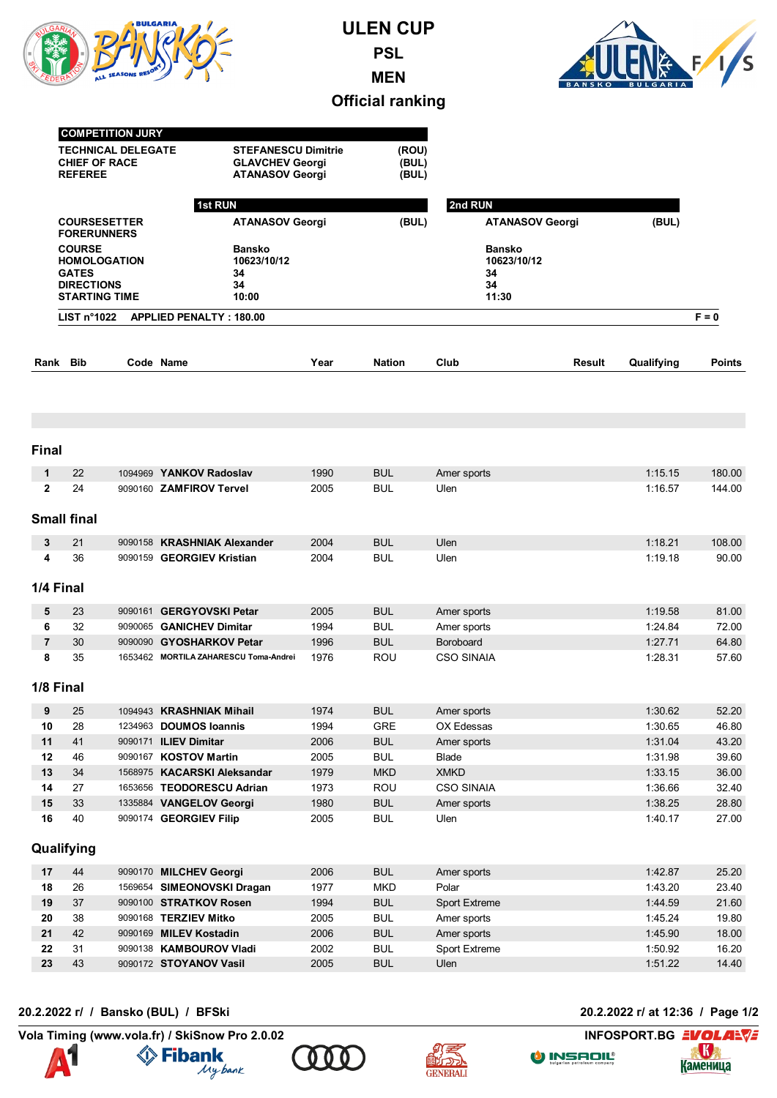

**ULEN CUP PSL MEN**



## **Official ranking**

|                | <b>COMPETITION JURY</b><br><b>TECHNICAL DELEGATE</b><br><b>CHIEF OF RACE</b><br><b>REFEREE</b><br><b>COURSESETTER</b><br><b>FORERUNNERS</b><br><b>COURSE</b><br><b>HOMOLOGATION</b><br><b>GATES</b><br><b>DIRECTIONS</b><br><b>STARTING TIME</b> |  |                                                   | <b>STEFANESCU Dimitrie</b><br><b>GLAVCHEV Georgi</b><br><b>ATANASOV Georgi</b><br>1st RUN |               | 2nd RUN                                           |        |            |               |
|----------------|--------------------------------------------------------------------------------------------------------------------------------------------------------------------------------------------------------------------------------------------------|--|---------------------------------------------------|-------------------------------------------------------------------------------------------|---------------|---------------------------------------------------|--------|------------|---------------|
|                |                                                                                                                                                                                                                                                  |  |                                                   | <b>ATANASOV Georgi</b>                                                                    |               | <b>ATANASOV Georgi</b>                            |        | (BUL)      |               |
|                |                                                                                                                                                                                                                                                  |  | <b>Bansko</b><br>10623/10/12<br>34<br>34<br>10:00 |                                                                                           |               | <b>Bansko</b><br>10623/10/12<br>34<br>34<br>11:30 |        |            |               |
|                | LIST $n^{\circ}1022$                                                                                                                                                                                                                             |  | <b>APPLIED PENALTY: 180.00</b>                    |                                                                                           |               |                                                   |        |            | $F = 0$       |
| Rank Bib       |                                                                                                                                                                                                                                                  |  | Code Name                                         | Year                                                                                      | <b>Nation</b> | Club                                              | Result | Qualifying | <b>Points</b> |
|                |                                                                                                                                                                                                                                                  |  |                                                   |                                                                                           |               |                                                   |        |            |               |
| <b>Final</b>   |                                                                                                                                                                                                                                                  |  |                                                   |                                                                                           |               |                                                   |        |            |               |
| 1              | 22                                                                                                                                                                                                                                               |  | 1094969 YANKOV Radoslav                           | 1990                                                                                      | <b>BUL</b>    | Amer sports                                       |        | 1:15.15    | 180.00        |
| $\mathbf{2}$   | 24                                                                                                                                                                                                                                               |  | 9090160 ZAMFIROV Tervel                           | 2005                                                                                      | <b>BUL</b>    | Ulen                                              |        | 1:16.57    | 144.00        |
|                | <b>Small final</b>                                                                                                                                                                                                                               |  |                                                   |                                                                                           |               |                                                   |        |            |               |
| 3              | 21                                                                                                                                                                                                                                               |  | 9090158 KRASHNIAK Alexander                       | 2004                                                                                      | <b>BUL</b>    | Ulen                                              |        | 1:18.21    | 108.00        |
| 4              | 36                                                                                                                                                                                                                                               |  | 9090159 GEORGIEV Kristian                         | 2004                                                                                      | <b>BUL</b>    | Ulen                                              |        | 1:19.18    | 90.00         |
| 1/4 Final      |                                                                                                                                                                                                                                                  |  |                                                   |                                                                                           |               |                                                   |        |            |               |
| 5              | 23                                                                                                                                                                                                                                               |  | 9090161 GERGYOVSKI Petar                          | 2005                                                                                      | <b>BUL</b>    | Amer sports                                       |        | 1:19.58    | 81.00         |
| 6              | 32                                                                                                                                                                                                                                               |  | 9090065 GANICHEV Dimitar                          | 1994                                                                                      | <b>BUL</b>    | Amer sports                                       |        | 1:24.84    | 72.00         |
| $\overline{7}$ | 30                                                                                                                                                                                                                                               |  | 9090090 GYOSHARKOV Petar                          | 1996                                                                                      | <b>BUL</b>    | Boroboard                                         |        | 1:27.71    | 64.80         |
| 8              | 35                                                                                                                                                                                                                                               |  | 1653462 MORTILA ZAHARESCU Toma-Andrei             | 1976                                                                                      | ROU           | <b>CSO SINAIA</b>                                 |        | 1:28.31    | 57.60         |
| 1/8 Final      |                                                                                                                                                                                                                                                  |  |                                                   |                                                                                           |               |                                                   |        |            |               |
| 9              | 25                                                                                                                                                                                                                                               |  | 1094943 KRASHNIAK Mihail                          | 1974                                                                                      | <b>BUL</b>    | Amer sports                                       |        | 1:30.62    | 52.20         |
| 10             | 28                                                                                                                                                                                                                                               |  | 1234963 DOUMOS Ioannis                            | 1994                                                                                      | GRE           | OX Edessas                                        |        | 1:30.65    | 46.80         |
| 11             | 41                                                                                                                                                                                                                                               |  | 9090171 ILIEV Dimitar                             | 2006                                                                                      | <b>BUL</b>    | Amer sports                                       |        | 1:31.04    | 43.20         |
| 12             | 46                                                                                                                                                                                                                                               |  | 9090167 KOSTOV Martin                             | 2005                                                                                      | <b>BUL</b>    | Blade                                             |        | 1:31.98    | 39.60         |
| 13             | 34                                                                                                                                                                                                                                               |  | 1568975 KACARSKI Aleksandar                       | 1979                                                                                      | <b>MKD</b>    | <b>XMKD</b>                                       |        | 1:33.15    | 36.00         |
| 14             | 27                                                                                                                                                                                                                                               |  | 1653656 TEODORESCU Adrian                         | 1973                                                                                      | ROU           | <b>CSO SINAIA</b>                                 |        | 1:36.66    | 32.40         |
| 15             | 33                                                                                                                                                                                                                                               |  | 1335884 VANGELOV Georgi                           | 1980                                                                                      | <b>BUL</b>    | Amer sports                                       |        | 1:38.25    | 28.80         |
| 16             | 40                                                                                                                                                                                                                                               |  | 9090174 GEORGIEV Filip                            | 2005                                                                                      | <b>BUL</b>    | Ulen                                              |        | 1:40.17    | 27.00         |
|                | Qualifying                                                                                                                                                                                                                                       |  |                                                   |                                                                                           |               |                                                   |        |            |               |
| 17             | 44                                                                                                                                                                                                                                               |  | 9090170 MILCHEV Georgi                            | 2006                                                                                      | <b>BUL</b>    | Amer sports                                       |        | 1:42.87    | 25.20         |
| 18             | 26                                                                                                                                                                                                                                               |  | 1569654 SIMEONOVSKI Dragan                        | 1977                                                                                      | <b>MKD</b>    | Polar                                             |        | 1:43.20    | 23.40         |
| 19             | 37                                                                                                                                                                                                                                               |  | 9090100 STRATKOV Rosen                            | 1994                                                                                      | <b>BUL</b>    | <b>Sport Extreme</b>                              |        | 1:44.59    | 21.60         |
| 20             | 38                                                                                                                                                                                                                                               |  | 9090168 TERZIEV Mitko                             | 2005                                                                                      | <b>BUL</b>    | Amer sports                                       |        | 1:45.24    | 19.80         |
| 21             | 42                                                                                                                                                                                                                                               |  | 9090169 MILEV Kostadin                            | 2006                                                                                      | <b>BUL</b>    | Amer sports                                       |        | 1:45.90    | 18.00         |
| 22             | 31                                                                                                                                                                                                                                               |  | 9090138 KAMBOUROV Vladi                           | 2002                                                                                      | <b>BUL</b>    | Sport Extreme                                     |        | 1:50.92    | 16.20         |
| 23             | 43                                                                                                                                                                                                                                               |  | 9090172 STOYANOV Vasil                            | 2005                                                                                      | <b>BUL</b>    | Ulen                                              |        | 1:51.22    | 14.40         |

**20.2.2022 г/ / Bansko (BUL) / BFSki 20.2.2022 г/ at 12:36 / Page 1/2**

**Vola Timing (www.vola.fr) / SkiSnow Pro 2.0.02 INFOSPORT.BG EVOLARY** 









O INSADIL